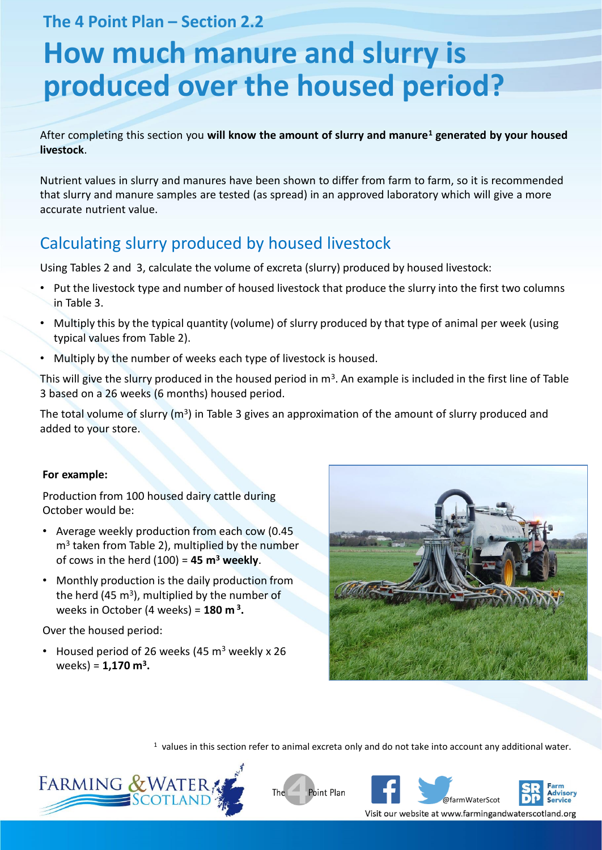**The 4 Point Plan – Section 2.2** 

# **How much manure and slurry is produced over the housed period?**

After completing this section you **will know the amount of slurry and manure<sup>1</sup> generated by your housed livestock**.

Nutrient values in slurry and manures have been shown to differ from farm to farm, so it is recommended that slurry and manure samples are tested (as spread) in an approved laboratory which will give a more accurate nutrient value.

# Calculating slurry produced by housed livestock

Using Tables 2 and 3, calculate the volume of excreta (slurry) produced by housed livestock:

- Put the livestock type and number of housed livestock that produce the slurry into the first two columns in Table 3.
- Multiply this by the typical quantity (volume) of slurry produced by that type of animal per week (using typical values from Table 2).
- Multiply by the number of weeks each type of livestock is housed.

This will give the slurry produced in the housed period in  $m^3$ . An example is included in the first line of Table 3 based on a 26 weeks (6 months) housed period.

The total volume of slurry (m<sup>3</sup>) in Table 3 gives an approximation of the amount of slurry produced and added to your store.

#### **For example:**

Production from 100 housed dairy cattle during October would be:

- Average weekly production from each cow (0.45 m<sup>3</sup> taken from Table 2), multiplied by the number of cows in the herd (100) = **45 m<sup>3</sup> weekly**.
- Monthly production is the daily production from the herd (45  $\text{m}^3$ ), multiplied by the number of weeks in October (4 weeks) = **180 m <sup>3</sup> .**

Over the housed period:

• Housed period of 26 weeks (45  $m<sup>3</sup>$  weekly x 26 weeks) = **1,170 m<sup>3</sup> .**



 $1$  values in this section refer to animal excreta only and do not take into account any additional water.







Visit our website at www.farmingandwaterscotland.org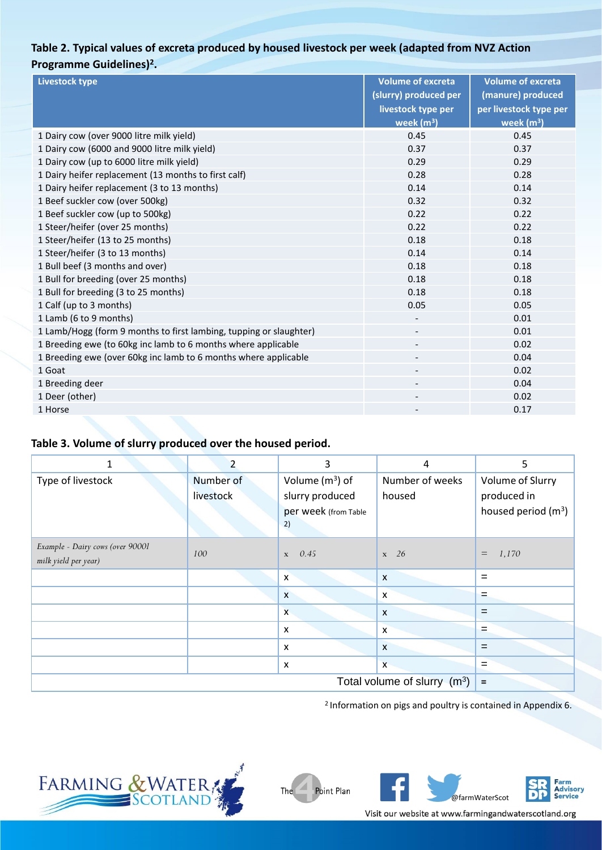## **Table 2. Typical values of excreta produced by housed livestock per week (adapted from NVZ Action Programme Guidelines)<sup>2</sup> .**

| <b>Livestock type</b>                                              | <b>Volume of excreta</b> | <b>Volume of excreta</b> |  |
|--------------------------------------------------------------------|--------------------------|--------------------------|--|
|                                                                    | (slurry) produced per    | (manure) produced        |  |
|                                                                    | livestock type per       | per livestock type per   |  |
|                                                                    | week $(m3)$              | week $(m3)$              |  |
| 1 Dairy cow (over 9000 litre milk yield)                           | 0.45                     | 0.45                     |  |
| 1 Dairy cow (6000 and 9000 litre milk yield)                       | 0.37                     | 0.37                     |  |
| 1 Dairy cow (up to 6000 litre milk yield)                          | 0.29                     | 0.29                     |  |
| 1 Dairy heifer replacement (13 months to first calf)               | 0.28                     | 0.28                     |  |
| 1 Dairy heifer replacement (3 to 13 months)                        | 0.14                     | 0.14                     |  |
| 1 Beef suckler cow (over 500kg)                                    | 0.32                     | 0.32                     |  |
| 1 Beef suckler cow (up to 500kg)                                   | 0.22                     | 0.22                     |  |
| 1 Steer/heifer (over 25 months)                                    | 0.22                     | 0.22                     |  |
| 1 Steer/heifer (13 to 25 months)                                   | 0.18                     | 0.18                     |  |
| 1 Steer/heifer (3 to 13 months)                                    | 0.14                     | 0.14                     |  |
| 1 Bull beef (3 months and over)                                    | 0.18                     | 0.18                     |  |
| 1 Bull for breeding (over 25 months)                               | 0.18                     | 0.18                     |  |
| 1 Bull for breeding (3 to 25 months)                               | 0.18                     | 0.18                     |  |
| 1 Calf (up to 3 months)                                            | 0.05                     | 0.05                     |  |
| 1 Lamb (6 to 9 months)                                             |                          | 0.01                     |  |
| 1 Lamb/Hogg (form 9 months to first lambing, tupping or slaughter) | $\overline{\phantom{a}}$ | 0.01                     |  |
| 1 Breeding ewe (to 60kg inc lamb to 6 months where applicable      |                          | 0.02                     |  |
| 1 Breeding ewe (over 60kg inc lamb to 6 months where applicable    | $\overline{\phantom{a}}$ | 0.04                     |  |
| 1 Goat                                                             |                          | 0.02                     |  |
| 1 Breeding deer                                                    |                          | 0.04                     |  |
| 1 Deer (other)                                                     | $\overline{\phantom{a}}$ | 0.02                     |  |
| 1 Horse                                                            |                          | 0.17                     |  |

#### **Table 3. Volume of slurry produced over the housed period.**

| 1                                | $\overline{2}$ | 3                    | $\overline{4}$            | 5                     |  |
|----------------------------------|----------------|----------------------|---------------------------|-----------------------|--|
| Type of livestock                | Number of      | Volume $(m^3)$ of    | Number of weeks           | Volume of Slurry      |  |
|                                  | livestock      | slurry produced      | housed                    | produced in           |  |
|                                  |                | per week (from Table |                           | housed period $(m^3)$ |  |
|                                  |                | 2)                   |                           |                       |  |
| Example - Dairy cows (over 90001 | 100            | 0.45                 | $x \quad 26$              | $\equiv$              |  |
| milk yield per year)             |                | $\mathbf X$          |                           | 1,170                 |  |
|                                  |                | X                    | $\boldsymbol{\mathsf{X}}$ | $=$                   |  |
|                                  |                | $\mathsf{x}$         | $\boldsymbol{\mathsf{x}}$ | $=$                   |  |
|                                  |                | $\mathsf{x}$         | $\boldsymbol{\mathsf{x}}$ | $=$                   |  |
|                                  |                | X                    | $\boldsymbol{\mathsf{x}}$ | $=$                   |  |
|                                  |                | X                    | $\boldsymbol{\mathsf{x}}$ | $=$                   |  |
|                                  |                | X                    | $\overline{\mathsf{x}}$   | $=$                   |  |
|                                  | Ξ              |                      |                           |                       |  |

The

2 Information on pigs and poultry is contained in Appendix 6.





Visit our website at www.farmingandwaterscotland.org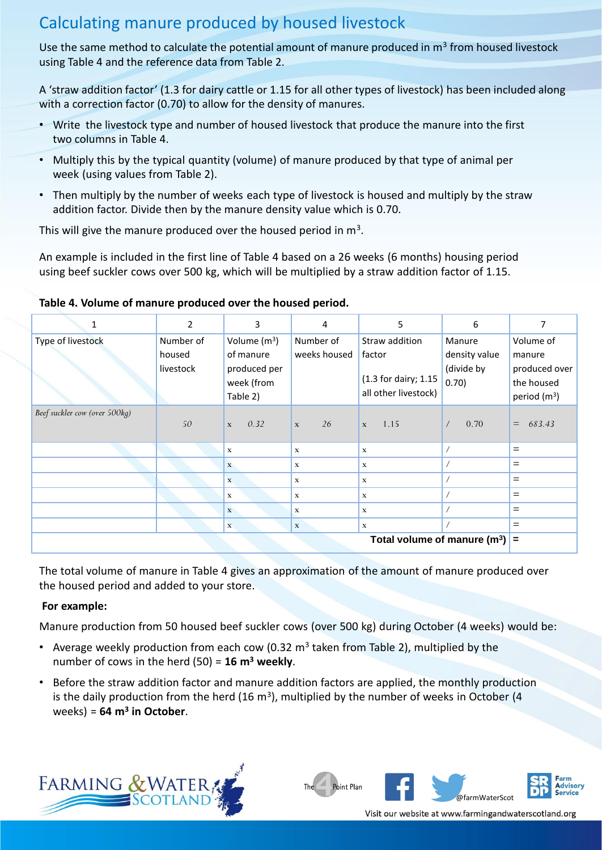## Calculating manure produced by housed livestock

Use the same method to calculate the potential amount of manure produced in m<sup>3</sup> from housed livestock using Table 4 and the reference data from Table 2.

A 'straw addition factor' (1.3 for dairy cattle or 1.15 for all other types of livestock) has been included along with a correction factor (0.70) to allow for the density of manures.

- Write the livestock type and number of housed livestock that produce the manure into the first two columns in Table 4.
- Multiply this by the typical quantity (volume) of manure produced by that type of animal per week (using values from Table 2).
- Then multiply by the number of weeks each type of livestock is housed and multiply by the straw addition factor. Divide then by the manure density value which is 0.70.

This will give the manure produced over the housed period in  $m^3$ .

An example is included in the first line of Table 4 based on a 26 weeks (6 months) housing period using beef suckler cows over 500 kg, which will be multiplied by a straw addition factor of 1.15.

| 1                              | 2         | 3                    | 4                  | 5                    | 6                  | 7              |
|--------------------------------|-----------|----------------------|--------------------|----------------------|--------------------|----------------|
| Type of livestock              | Number of | Volume $(m^3)$       | Number of          | Straw addition       | Manure             | Volume of      |
|                                | housed    | of manure            | weeks housed       | factor               | density value      | manure         |
|                                | livestock | produced per         |                    |                      | (divide by         | produced over  |
|                                |           | week (from           |                    | (1.3 for dairy; 1.15 | 0.70)              | the housed     |
|                                |           | Table 2)             |                    | all other livestock) |                    | period $(m^3)$ |
| Beef suckler cow (over 500kg)  |           |                      |                    |                      |                    |                |
|                                | 50        | 0.32<br>$\mathbf{x}$ | 26<br>$\mathbf{x}$ | 1.15<br>$\mathbf{x}$ | 0.70<br>$\sqrt{2}$ | 683.43<br>$=$  |
|                                |           |                      |                    |                      |                    |                |
|                                |           | $\mathbf x$          | $\mathbf x$        | $\mathbf x$          |                    | $=$            |
|                                |           | $\mathbf x$          | $\mathbf x$        | $\mathbf x$          |                    | $=$            |
|                                |           | $\mathbf{x}$         | $\mathbf x$        | $\mathbf x$          |                    | $=$            |
|                                |           | $\mathbf x$          | $\mathbf x$        | $\mathbf x$          |                    | $=$            |
|                                |           | $\mathbf{X}$         | $\mathbf x$        | $\mathbf x$          |                    | $=$            |
|                                |           | $\mathbf{x}$         | $\mathbf x$        | x                    |                    | $=$            |
| Total volume of manure $(m^3)$ |           |                      |                    |                      |                    |                |

#### **Table 4. Volume of manure produced over the housed period.**

The total volume of manure in Table 4 gives an approximation of the amount of manure produced over the housed period and added to your store.

### **For example:**

Manure production from 50 housed beef suckler cows (over 500 kg) during October (4 weeks) would be:

- Average weekly production from each cow (0.32  $m<sup>3</sup>$  taken from Table 2), multiplied by the number of cows in the herd (50) = **16 m<sup>3</sup> weekly**.
- Before the straw addition factor and manure addition factors are applied, the monthly production is the daily production from the herd (16  $m^3$ ), multiplied by the number of weeks in October (4 weeks) = **64 m<sup>3</sup> in October**.